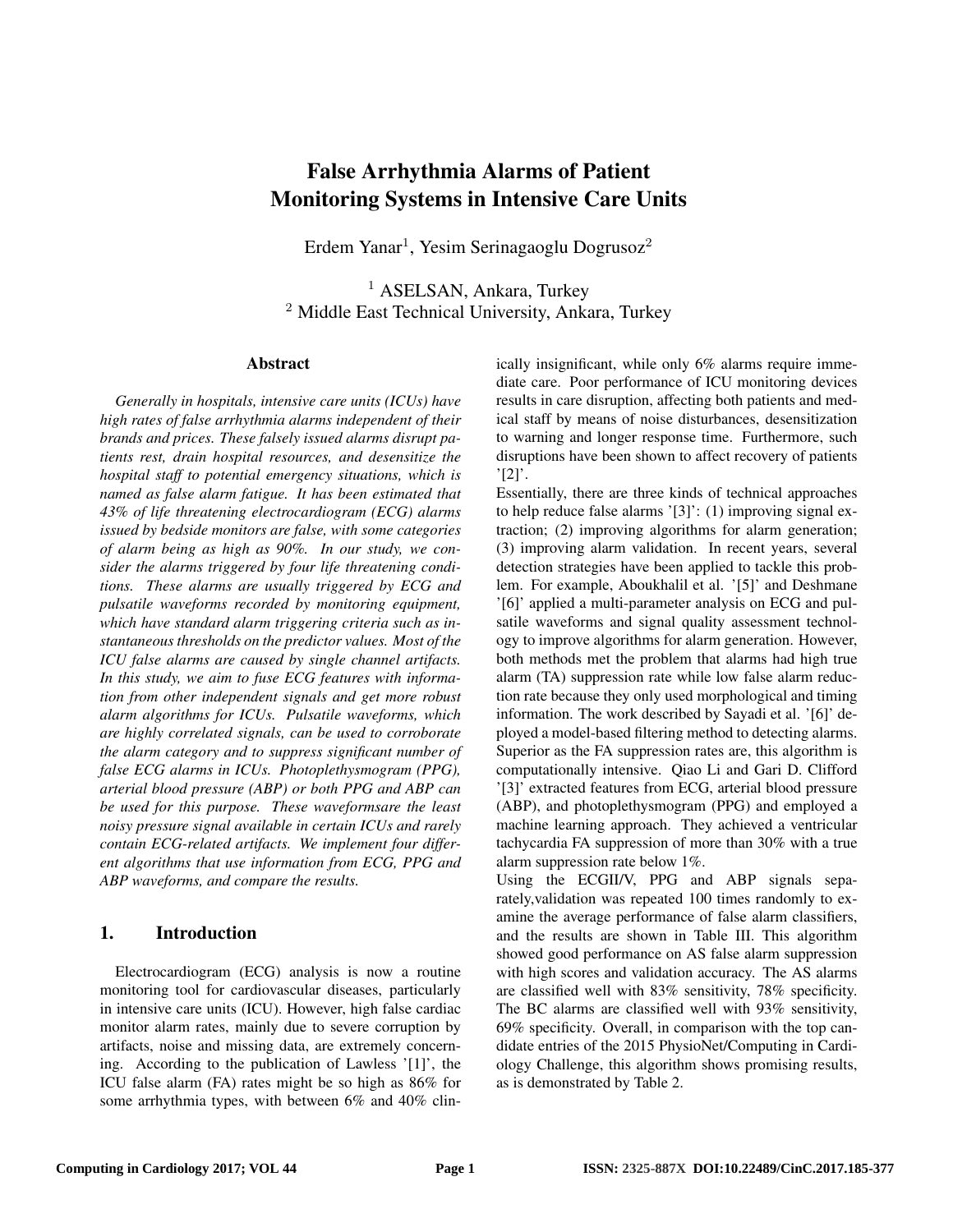# False Arrhythmia Alarms of Patient Monitoring Systems in Intensive Care Units

Erdem Yanar<sup>1</sup>, Yesim Serinagaoglu Dogrusoz<sup>2</sup>

<sup>1</sup> ASELSAN, Ankara, Turkey <sup>2</sup> Middle East Technical University, Ankara, Turkey

#### Abstract

*Generally in hospitals, intensive care units (ICUs) have high rates of false arrhythmia alarms independent of their brands and prices. These falsely issued alarms disrupt patients rest, drain hospital resources, and desensitize the hospital staff to potential emergency situations, which is named as false alarm fatigue. It has been estimated that 43% of life threatening electrocardiogram (ECG) alarms issued by bedside monitors are false, with some categories of alarm being as high as 90%. In our study, we consider the alarms triggered by four life threatening conditions. These alarms are usually triggered by ECG and pulsatile waveforms recorded by monitoring equipment, which have standard alarm triggering criteria such as instantaneous thresholds on the predictor values. Most of the ICU false alarms are caused by single channel artifacts. In this study, we aim to fuse ECG features with information from other independent signals and get more robust alarm algorithms for ICUs. Pulsatile waveforms, which are highly correlated signals, can be used to corroborate the alarm category and to suppress significant number of false ECG alarms in ICUs. Photoplethysmogram (PPG), arterial blood pressure (ABP) or both PPG and ABP can be used for this purpose. These waveformsare the least noisy pressure signal available in certain ICUs and rarely contain ECG-related artifacts. We implement four different algorithms that use information from ECG, PPG and ABP waveforms, and compare the results.*

## 1. Introduction

Electrocardiogram (ECG) analysis is now a routine monitoring tool for cardiovascular diseases, particularly in intensive care units (ICU). However, high false cardiac monitor alarm rates, mainly due to severe corruption by artifacts, noise and missing data, are extremely concerning. According to the publication of Lawless '[1]', the ICU false alarm (FA) rates might be so high as 86% for some arrhythmia types, with between 6% and 40% clinically insignificant, while only 6% alarms require immediate care. Poor performance of ICU monitoring devices results in care disruption, affecting both patients and medical staff by means of noise disturbances, desensitization to warning and longer response time. Furthermore, such disruptions have been shown to affect recovery of patients  $'[2]'$ .

Essentially, there are three kinds of technical approaches to help reduce false alarms '[3]': (1) improving signal extraction; (2) improving algorithms for alarm generation; (3) improving alarm validation. In recent years, several detection strategies have been applied to tackle this problem. For example, Aboukhalil et al. '[5]' and Deshmane '[6]' applied a multi-parameter analysis on ECG and pulsatile waveforms and signal quality assessment technology to improve algorithms for alarm generation. However, both methods met the problem that alarms had high true alarm (TA) suppression rate while low false alarm reduction rate because they only used morphological and timing information. The work described by Sayadi et al. '[6]' deployed a model-based filtering method to detecting alarms. Superior as the FA suppression rates are, this algorithm is computationally intensive. Qiao Li and Gari D. Clifford '[3]' extracted features from ECG, arterial blood pressure (ABP), and photoplethysmogram (PPG) and employed a machine learning approach. They achieved a ventricular tachycardia FA suppression of more than 30% with a true alarm suppression rate below 1%.

Using the ECGII/V, PPG and ABP signals separately,validation was repeated 100 times randomly to examine the average performance of false alarm classifiers, and the results are shown in Table III. This algorithm showed good performance on AS false alarm suppression with high scores and validation accuracy. The AS alarms are classified well with 83% sensitivity, 78% specificity. The BC alarms are classified well with 93% sensitivity, 69% specificity. Overall, in comparison with the top candidate entries of the 2015 PhysioNet/Computing in Cardiology Challenge, this algorithm shows promising results, as is demonstrated by Table 2.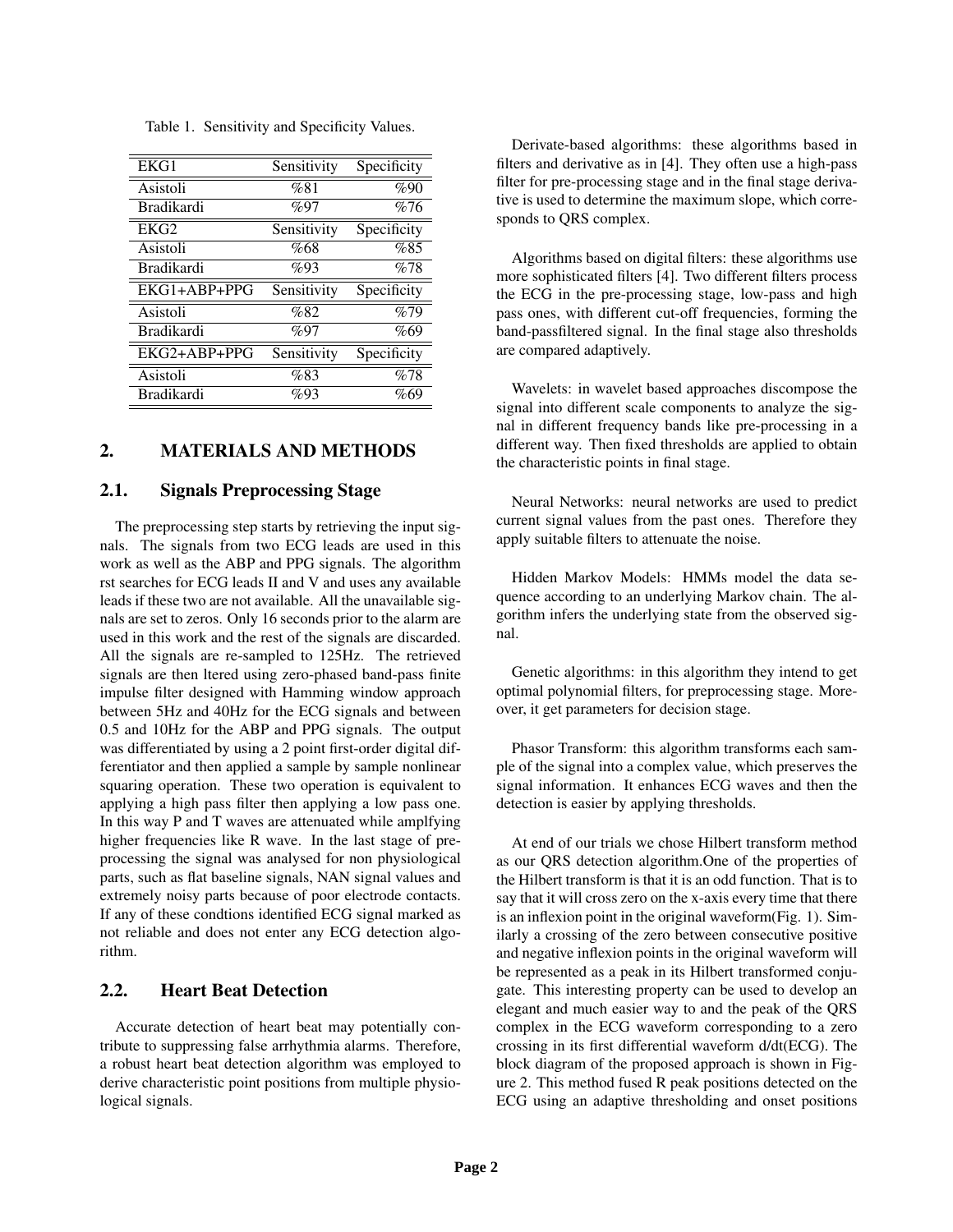| EKG1              | Sensitivity | Specificity |
|-------------------|-------------|-------------|
| Asistoli          | %81         | %90         |
| <b>Bradikardi</b> | %97         | %76         |
| EKG <sub>2</sub>  | Sensitivity | Specificity |
| Asistoli          | %68         | %85         |
| <b>Bradikardi</b> | %93         | %78         |
| EKG1+ABP+PPG      | Sensitivity | Specificity |
| Asistoli          | %82         | %79         |
|                   |             |             |
| <b>Bradikardi</b> | %97         | %69         |
| EKG2+ABP+PPG      | Sensitivity | Specificity |
| Asistoli          | %83         | %78         |
| <b>Bradikardi</b> | %93         | %69         |

Table 1. Sensitivity and Specificity Values.

## 2. MATERIALS AND METHODS

#### 2.1. Signals Preprocessing Stage

The preprocessing step starts by retrieving the input signals. The signals from two ECG leads are used in this work as well as the ABP and PPG signals. The algorithm rst searches for ECG leads II and V and uses any available leads if these two are not available. All the unavailable signals are set to zeros. Only 16 seconds prior to the alarm are used in this work and the rest of the signals are discarded. All the signals are re-sampled to 125Hz. The retrieved signals are then ltered using zero-phased band-pass finite impulse filter designed with Hamming window approach between 5Hz and 40Hz for the ECG signals and between 0.5 and 10Hz for the ABP and PPG signals. The output was differentiated by using a 2 point first-order digital differentiator and then applied a sample by sample nonlinear squaring operation. These two operation is equivalent to applying a high pass filter then applying a low pass one. In this way P and T waves are attenuated while amplfying higher frequencies like R wave. In the last stage of preprocessing the signal was analysed for non physiological parts, such as flat baseline signals, NAN signal values and extremely noisy parts because of poor electrode contacts. If any of these condtions identified ECG signal marked as not reliable and does not enter any ECG detection algorithm.

#### 2.2. Heart Beat Detection

Accurate detection of heart beat may potentially contribute to suppressing false arrhythmia alarms. Therefore, a robust heart beat detection algorithm was employed to derive characteristic point positions from multiple physiological signals.

Derivate-based algorithms: these algorithms based in filters and derivative as in [4]. They often use a high-pass filter for pre-processing stage and in the final stage derivative is used to determine the maximum slope, which corresponds to QRS complex.

Algorithms based on digital filters: these algorithms use more sophisticated filters [4]. Two different filters process the ECG in the pre-processing stage, low-pass and high pass ones, with different cut-off frequencies, forming the band-passfiltered signal. In the final stage also thresholds are compared adaptively.

Wavelets: in wavelet based approaches discompose the signal into different scale components to analyze the signal in different frequency bands like pre-processing in a different way. Then fixed thresholds are applied to obtain the characteristic points in final stage.

Neural Networks: neural networks are used to predict current signal values from the past ones. Therefore they apply suitable filters to attenuate the noise.

Hidden Markov Models: HMMs model the data sequence according to an underlying Markov chain. The algorithm infers the underlying state from the observed signal.

Genetic algorithms: in this algorithm they intend to get optimal polynomial filters, for preprocessing stage. Moreover, it get parameters for decision stage.

Phasor Transform: this algorithm transforms each sample of the signal into a complex value, which preserves the signal information. It enhances ECG waves and then the detection is easier by applying thresholds.

At end of our trials we chose Hilbert transform method as our QRS detection algorithm.One of the properties of the Hilbert transform is that it is an odd function. That is to say that it will cross zero on the x-axis every time that there is an inflexion point in the original waveform(Fig. 1). Similarly a crossing of the zero between consecutive positive and negative inflexion points in the original waveform will be represented as a peak in its Hilbert transformed conjugate. This interesting property can be used to develop an elegant and much easier way to and the peak of the QRS complex in the ECG waveform corresponding to a zero crossing in its first differential waveform d/dt(ECG). The block diagram of the proposed approach is shown in Figure 2. This method fused R peak positions detected on the ECG using an adaptive thresholding and onset positions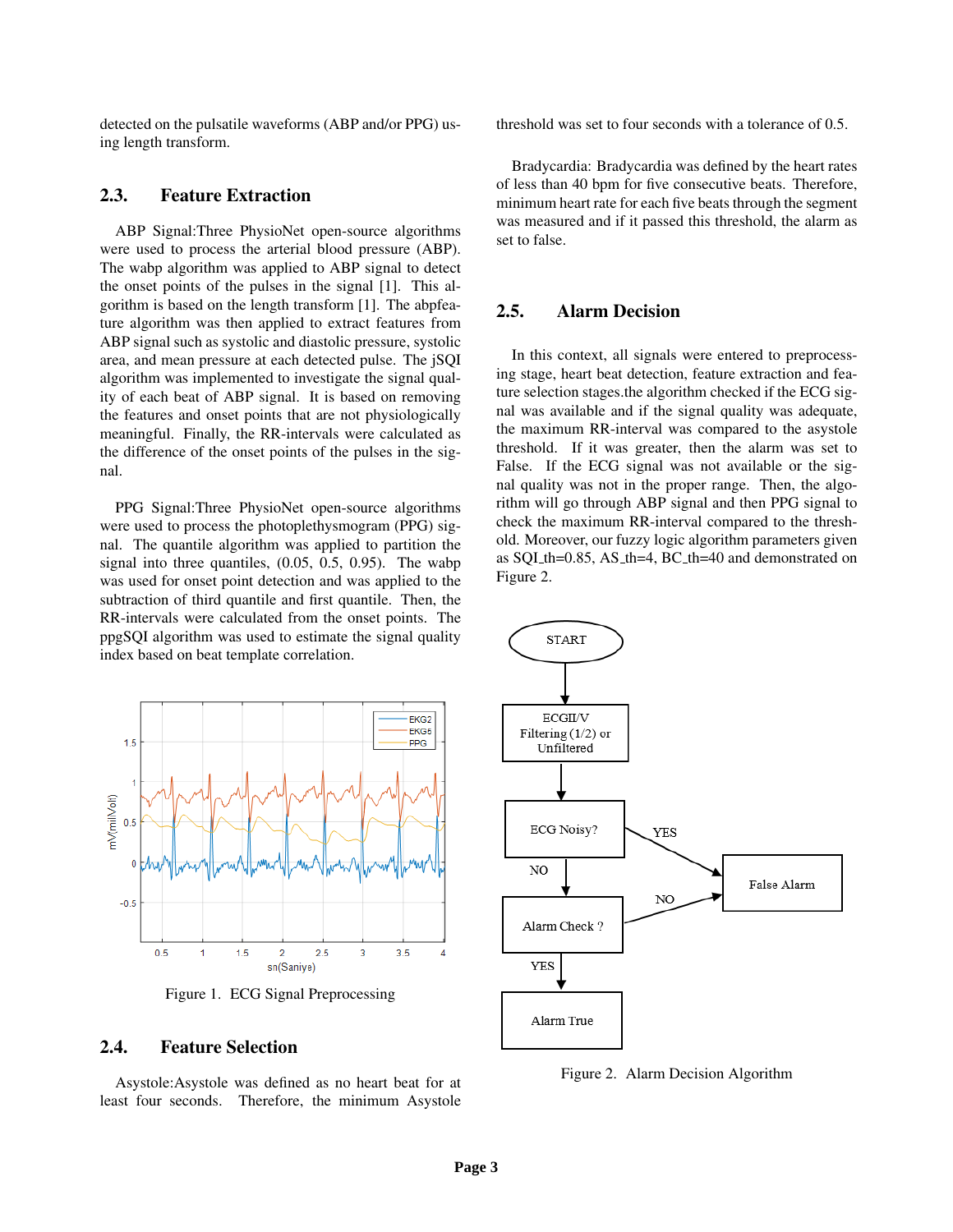detected on the pulsatile waveforms (ABP and/or PPG) using length transform.

#### 2.3. Feature Extraction

ABP Signal:Three PhysioNet open-source algorithms were used to process the arterial blood pressure (ABP). The wabp algorithm was applied to ABP signal to detect the onset points of the pulses in the signal [1]. This algorithm is based on the length transform [1]. The abpfeature algorithm was then applied to extract features from ABP signal such as systolic and diastolic pressure, systolic area, and mean pressure at each detected pulse. The jSQI algorithm was implemented to investigate the signal quality of each beat of ABP signal. It is based on removing the features and onset points that are not physiologically meaningful. Finally, the RR-intervals were calculated as the difference of the onset points of the pulses in the signal.

PPG Signal:Three PhysioNet open-source algorithms were used to process the photoplethysmogram (PPG) signal. The quantile algorithm was applied to partition the signal into three quantiles, (0.05, 0.5, 0.95). The wabp was used for onset point detection and was applied to the subtraction of third quantile and first quantile. Then, the RR-intervals were calculated from the onset points. The ppgSQI algorithm was used to estimate the signal quality index based on beat template correlation.



Figure 1. ECG Signal Preprocessing

## 2.4. Feature Selection

Asystole:Asystole was defined as no heart beat for at least four seconds. Therefore, the minimum Asystole threshold was set to four seconds with a tolerance of 0.5.

Bradycardia: Bradycardia was defined by the heart rates of less than 40 bpm for five consecutive beats. Therefore, minimum heart rate for each five beats through the segment was measured and if it passed this threshold, the alarm as set to false.

# 2.5. Alarm Decision

In this context, all signals were entered to preprocessing stage, heart beat detection, feature extraction and feature selection stages.the algorithm checked if the ECG signal was available and if the signal quality was adequate, the maximum RR-interval was compared to the asystole threshold. If it was greater, then the alarm was set to False. If the ECG signal was not available or the signal quality was not in the proper range. Then, the algorithm will go through ABP signal and then PPG signal to check the maximum RR-interval compared to the threshold. Moreover, our fuzzy logic algorithm parameters given as SQI th=0.85, AS th=4, BC th=40 and demonstrated on Figure 2.



Figure 2. Alarm Decision Algorithm